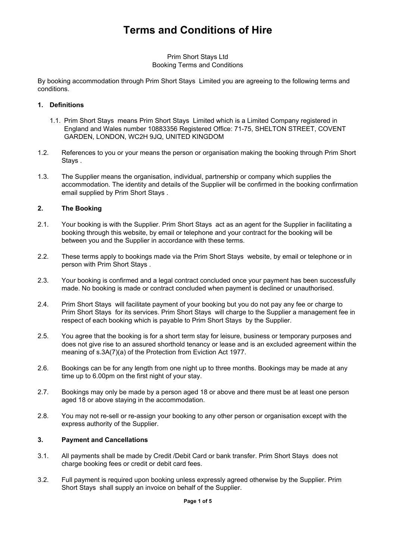# **Terms and Conditions of Hire**

#### Prim Short Stays Ltd Booking Terms and Conditions

By booking accommodation through Prim Short Stays Limited you are agreeing to the following terms and conditions.

#### **1. Definitions**

- 1.1. Prim Short Stays means Prim Short Stays Limited which is a Limited Company registered in England and Wales number 10883356 Registered Office: 71-75, SHELTON STREET, COVENT GARDEN, LONDON, WC2H 9JQ, UNITED KINGDOM
- 1.2. References to you or your means the person or organisation making the booking through Prim Short Stays .
- 1.3. The Supplier means the organisation, individual, partnership or company which supplies the accommodation. The identity and details of the Supplier will be confirmed in the booking confirmation email supplied by Prim Short Stays .

## **2. The Booking**

- 2.1. Your booking is with the Supplier. Prim Short Stays act as an agent for the Supplier in facilitating a booking through this website, by email or telephone and your contract for the booking will be between you and the Supplier in accordance with these terms.
- 2.2. These terms apply to bookings made via the Prim Short Stays website, by email or telephone or in person with Prim Short Stays .
- 2.3. Your booking is confirmed and a legal contract concluded once your payment has been successfully made. No booking is made or contract concluded when payment is declined or unauthorised.
- 2.4. Prim Short Stays will facilitate payment of your booking but you do not pay any fee or charge to Prim Short Stays for its services. Prim Short Stays will charge to the Supplier a management fee in respect of each booking which is payable to Prim Short Stays by the Supplier.
- 2.5. You agree that the booking is for a short term stay for leisure, business or temporary purposes and does not give rise to an assured shorthold tenancy or lease and is an excluded agreement within the meaning of s.3A(7)(a) of the Protection from Eviction Act 1977.
- 2.6. Bookings can be for any length from one night up to three months. Bookings may be made at any time up to 6.00pm on the first night of your stay.
- 2.7. Bookings may only be made by a person aged 18 or above and there must be at least one person aged 18 or above staying in the accommodation.
- 2.8. You may not re-sell or re-assign your booking to any other person or organisation except with the express authority of the Supplier.

#### **3. Payment and Cancellations**

- 3.1. All payments shall be made by Credit /Debit Card or bank transfer. Prim Short Stays does not charge booking fees or credit or debit card fees.
- 3.2. Full payment is required upon booking unless expressly agreed otherwise by the Supplier. Prim Short Stays shall supply an invoice on behalf of the Supplier.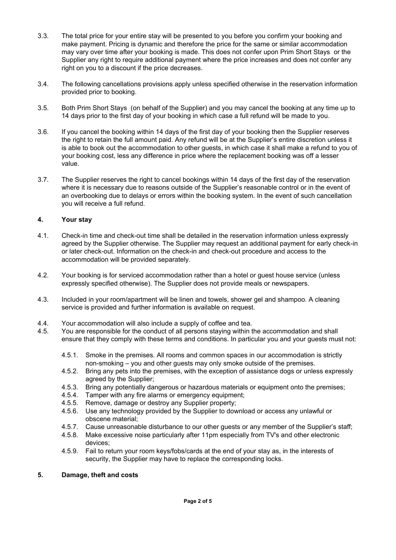- 3.3. The total price for your entire stay will be presented to you before you confirm your booking and make payment. Pricing is dynamic and therefore the price for the same or similar accommodation may vary over time after your booking is made. This does not confer upon Prim Short Stays or the Supplier any right to require additional payment where the price increases and does not confer any right on you to a discount if the price decreases.
- 3.4. The following cancellations provisions apply unless specified otherwise in the reservation information provided prior to booking.
- 3.5. Both Prim Short Stays (on behalf of the Supplier) and you may cancel the booking at any time up to 14 days prior to the first day of your booking in which case a full refund will be made to you.
- 3.6. If you cancel the booking within 14 days of the first day of your booking then the Supplier reserves the right to retain the full amount paid. Any refund will be at the Supplier's entire discretion unless it is able to book out the accommodation to other guests, in which case it shall make a refund to you of your booking cost, less any difference in price where the replacement booking was off a lesser value.
- 3.7. The Supplier reserves the right to cancel bookings within 14 days of the first day of the reservation where it is necessary due to reasons outside of the Supplier's reasonable control or in the event of an overbooking due to delays or errors within the booking system. In the event of such cancellation you will receive a full refund.

## **4. Your stay**

- 4.1. Check-in time and check-out time shall be detailed in the reservation information unless expressly agreed by the Supplier otherwise. The Supplier may request an additional payment for early check-in or later check-out. Information on the check-in and check-out procedure and access to the accommodation will be provided separately.
- 4.2. Your booking is for serviced accommodation rather than a hotel or guest house service (unless expressly specified otherwise). The Supplier does not provide meals or newspapers.
- 4.3. Included in your room/apartment will be linen and towels, shower gel and shampoo. A cleaning service is provided and further information is available on request.
- 4.4. Your accommodation will also include a supply of coffee and tea.
- 4.5. You are responsible for the conduct of all persons staying within the accommodation and shall ensure that they comply with these terms and conditions. In particular you and your guests must not:
	- 4.5.1. Smoke in the premises. All rooms and common spaces in our accommodation is strictly non-smoking – you and other guests may only smoke outside of the premises.
	- 4.5.2. Bring any pets into the premises, with the exception of assistance dogs or unless expressly agreed by the Supplier;
	- 4.5.3. Bring any potentially dangerous or hazardous materials or equipment onto the premises;
	- 4.5.4. Tamper with any fire alarms or emergency equipment;
	- 4.5.5. Remove, damage or destroy any Supplier property;
	- 4.5.6. Use any technology provided by the Supplier to download or access any unlawful or obscene material;
	- 4.5.7. Cause unreasonable disturbance to our other guests or any member of the Supplier's staff;
	- 4.5.8. Make excessive noise particularly after 11pm especially from TV's and other electronic devices;
	- 4.5.9. Fail to return your room keys/fobs/cards at the end of your stay as, in the interests of security, the Supplier may have to replace the corresponding locks.

#### **5. Damage, theft and costs**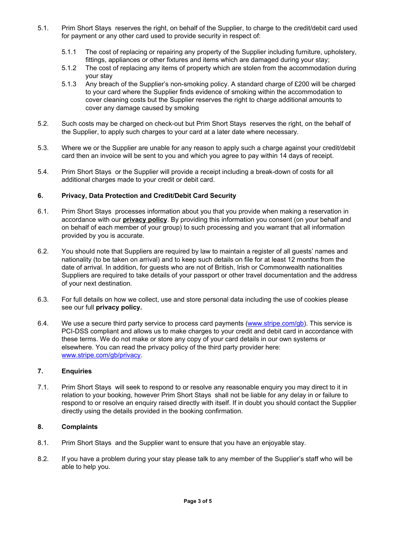- 5.1. Prim Short Stays reserves the right, on behalf of the Supplier, to charge to the credit/debit card used for payment or any other card used to provide security in respect of:
	- 5.1.1 The cost of replacing or repairing any property of the Supplier including furniture, upholstery, fittings, appliances or other fixtures and items which are damaged during your stay;
	- 5.1.2 The cost of replacing any items of property which are stolen from the accommodation during your stay
	- 5.1.3 Any breach of the Supplier's non-smoking policy. A standard charge of £200 will be charged to your card where the Supplier finds evidence of smoking within the accommodation to cover cleaning costs but the Supplier reserves the right to charge additional amounts to cover any damage caused by smoking
- 5.2. Such costs may be charged on check-out but Prim Short Stays reserves the right, on the behalf of the Supplier, to apply such charges to your card at a later date where necessary.
- 5.3. Where we or the Supplier are unable for any reason to apply such a charge against your credit/debit card then an invoice will be sent to you and which you agree to pay within 14 days of receipt.
- 5.4. Prim Short Stays or the Supplier will provide a receipt including a break-down of costs for all additional charges made to your credit or debit card.

## **6. Privacy, Data Protection and Credit/Debit Card Security**

- 6.1. Prim Short Stays processes information about you that you provide when making a reservation in accordance with our **privacy policy**. By providing this information you consent (on your behalf and on behalf of each member of your group) to such processing and you warrant that all information provided by you is accurate.
- 6.2. You should note that Suppliers are required by law to maintain a register of all guests' names and nationality (to be taken on arrival) and to keep such details on file for at least 12 months from the date of arrival. In addition, for guests who are not of British, Irish or Commonwealth nationalities Suppliers are required to take details of your passport or other travel documentation and the address of your next destination.
- 6.3. For full details on how we collect, use and store personal data including the use of cookies please see our full **privacy policy.**
- 6.4. We use a secure third party service to process card payments [\(www.stripe.com/gb\)](http://www.stripe.com/gb). This service is PCI-DSS compliant and allows us to make charges to your credit and debit card in accordance with these terms. We do not make or store any copy of your card details in our own systems or elsewhere. You can read the privacy policy of the third party provider here: [www.stripe.com/gb/privacy.](http://www.stripe.com/gb/privacy)

#### **7. Enquiries**

7.1. Prim Short Stays will seek to respond to or resolve any reasonable enquiry you may direct to it in relation to your booking, however Prim Short Stays shall not be liable for any delay in or failure to respond to or resolve an enquiry raised directly with itself. If in doubt you should contact the Supplier directly using the details provided in the booking confirmation.

## **8. Complaints**

- 8.1. Prim Short Stays and the Supplier want to ensure that you have an enjoyable stay.
- 8.2. If you have a problem during your stay please talk to any member of the Supplier's staff who will be able to help you.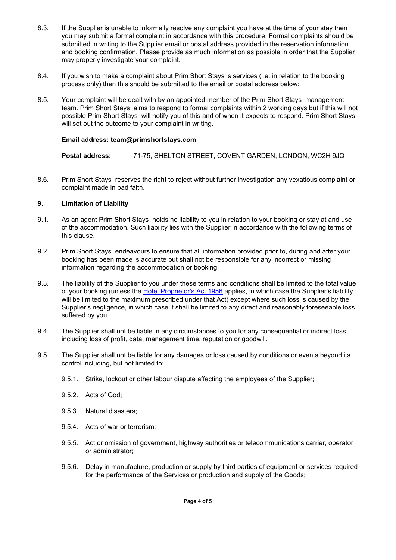- 8.3. If the Supplier is unable to informally resolve any complaint you have at the time of your stay then you may submit a formal complaint in accordance with this procedure. Formal complaints should be submitted in writing to the Supplier email or postal address provided in the reservation information and booking confirmation. Please provide as much information as possible in order that the Supplier may properly investigate your complaint.
- 8.4. If you wish to make a complaint about Prim Short Stays 's services (i.e. in relation to the booking process only) then this should be submitted to the email or postal address below:
- 8.5. Your complaint will be dealt with by an appointed member of the Prim Short Stays management team. Prim Short Stays aims to respond to formal complaints within 2 working days but if this will not possible Prim Short Stays will notify you of this and of when it expects to respond. Prim Short Stays will set out the outcome to your complaint in writing.

## **Email address: team@primshortstays.com**

**Postal address:** 71-75, SHELTON STREET, COVENT GARDEN, LONDON, WC2H 9JQ

8.6. Prim Short Stays reserves the right to reject without further investigation any vexatious complaint or complaint made in bad faith.

## **9. Limitation of Liability**

- 9.1. As an agent Prim Short Stays holds no liability to you in relation to your booking or stay at and use of the accommodation. Such liability lies with the Supplier in accordance with the following terms of this clause.
- 9.2. Prim Short Stays endeavours to ensure that all information provided prior to, during and after your booking has been made is accurate but shall not be responsible for any incorrect or missing information regarding the accommodation or booking.
- 9.3. The liability of the Supplier to you under these terms and conditions shall be limited to the total value of your booking (unless the Hotel [Proprietor's](http://www.legislation.gov.uk/ukpga/Eliz2/4-5/62/contents) Act 1956 applies, in which case the Supplier's liability will be limited to the maximum prescribed under that Act) except where such loss is caused by the Supplier's negligence, in which case it shall be limited to any direct and reasonably foreseeable loss suffered by you.
- 9.4. The Supplier shall not be liable in any circumstances to you for any consequential or indirect loss including loss of profit, data, management time, reputation or goodwill.
- 9.5. The Supplier shall not be liable for any damages or loss caused by conditions or events beyond its control including, but not limited to:
	- 9.5.1. Strike, lockout or other labour dispute affecting the employees of the Supplier;
	- 9.5.2. Acts of God;
	- 9.5.3. Natural disasters;
	- 9.5.4. Acts of war or terrorism;
	- 9.5.5. Act or omission of government, highway authorities or telecommunications carrier, operator or administrator;
	- 9.5.6. Delay in manufacture, production or supply by third parties of equipment or services required for the performance of the Services or production and supply of the Goods;